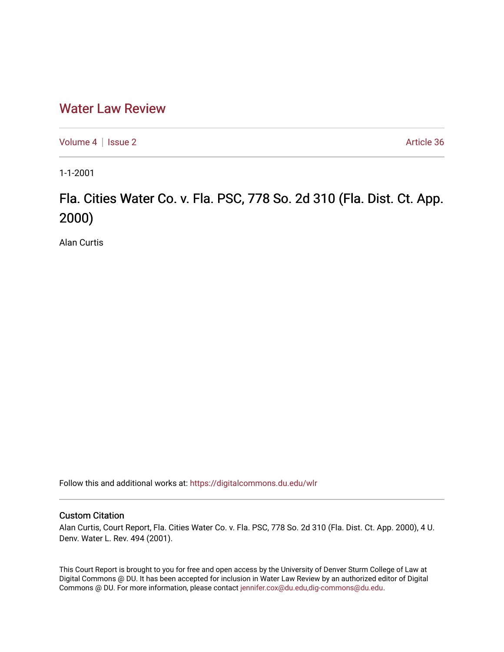## [Water Law Review](https://digitalcommons.du.edu/wlr)

[Volume 4](https://digitalcommons.du.edu/wlr/vol4) | [Issue 2](https://digitalcommons.du.edu/wlr/vol4/iss2) Article 36

1-1-2001

## Fla. Cities Water Co. v. Fla. PSC, 778 So. 2d 310 (Fla. Dist. Ct. App. 2000)

Alan Curtis

Follow this and additional works at: [https://digitalcommons.du.edu/wlr](https://digitalcommons.du.edu/wlr?utm_source=digitalcommons.du.edu%2Fwlr%2Fvol4%2Fiss2%2F36&utm_medium=PDF&utm_campaign=PDFCoverPages) 

## Custom Citation

Alan Curtis, Court Report, Fla. Cities Water Co. v. Fla. PSC, 778 So. 2d 310 (Fla. Dist. Ct. App. 2000), 4 U. Denv. Water L. Rev. 494 (2001).

This Court Report is brought to you for free and open access by the University of Denver Sturm College of Law at Digital Commons @ DU. It has been accepted for inclusion in Water Law Review by an authorized editor of Digital Commons @ DU. For more information, please contact [jennifer.cox@du.edu,dig-commons@du.edu.](mailto:jennifer.cox@du.edu,dig-commons@du.edu)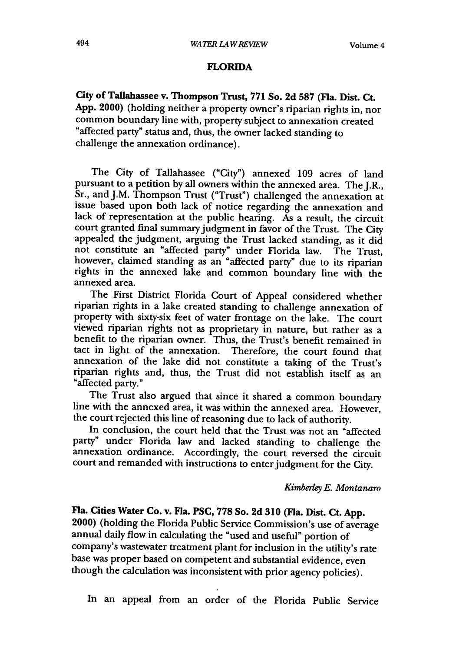## **FLORIDA**

City of Tallahassee v. Thompson Trust, **771** So. **2d 587 (Fla.** Dist. Ct. **App.** 2000) (holding neither a property owner's riparian rights in, nor common boundary line with, property subject to annexation created "affected party" status and, thus, the owner lacked standing to challenge the annexation ordinance).

The City of Tallahassee ("City") annexed 109 acres of land pursuant to a petition by all owners within the annexed area. The J.R., Sr., and J.M. Thompson Trust ("Trust") challenged the annexation at issue based upon both lack of notice regarding the annexation and lack of representation at the public hearing. As a result, the circuit court granted final summary judgment in favor of the Trust. The City appealed the judgment, arguing the Trust lacked standing, as it did not constitute an "affected party" under Florida law. The Trust, however, claimed standing as an "affected party" due to its riparian rights in the annexed lake and common boundary line with the annexed area.

The First District Florida Court of Appeal considered whether riparian rights in a lake created standing to challenge annexation of property with sixty-six feet of water frontage on the lake. The court viewed riparian rights not as proprietary in nature, but rather as a benefit to the riparian owner. Thus, the Trust's benefit remained in tact in light of the annexation. Therefore, the court found that annexation of the lake did not constitute a taking of the Trust's riparian rights and, thus, the Trust did not establish itself as an "affected party."

The Trust also argued that since it shared a common boundary line with the annexed area, it was within the annexed area. However, the court rejected this line of reasoning due to lack of authority.

In conclusion, the court held that the Trust was not an "affected party" under Florida law and lacked standing to challenge the annexation ordinance. Accordingly, the court reversed the circuit court and remanded with instructions to enter judgment for the City.

*Kimberley E. Montanaro*

**Fla. Cities Water Co. v. Fla. PSC, 778 So. 2d 310 (Fla. Dist. Ct. App.** 2000) (holding the Florida Public Service Commission's use of average annual daily flow in calculating the "used and useful" portion of company's wastewater treatment plant for inclusion in the utility's rate base was proper based on competent and substantial evidence, even though the calculation was inconsistent with prior agency policies).

In an appeal from an order of the Florida Public Service